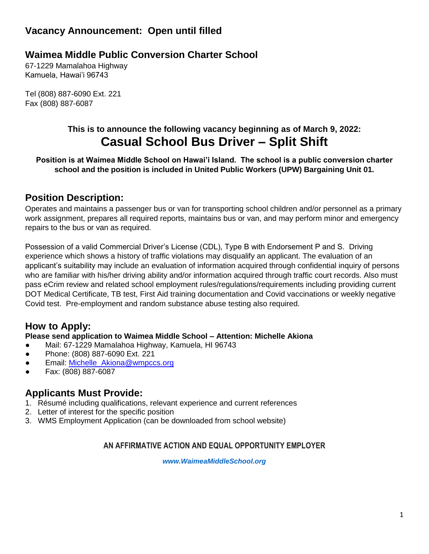# **Vacancy Announcement: Open until filled**

# **Waimea Middle Public Conversion Charter School**

67-1229 Mamalahoa Highway Kamuela, Hawai'i 96743

Tel (808) 887-6090 Ext. 221 Fax (808) 887-6087

# **This is to announce the following vacancy beginning as of March 9, 2022: Casual School Bus Driver – Split Shift**

**Position is at Waimea Middle School on Hawai'i Island. The school is a public conversion charter school and the position is included in United Public Workers (UPW) Bargaining Unit 01.**

## **Position Description:**

Operates and maintains a passenger bus or van for transporting school children and/or personnel as a primary work assignment, prepares all required reports, maintains bus or van, and may perform minor and emergency repairs to the bus or van as required.

Possession of a valid Commercial Driver's License (CDL), Type B with Endorsement P and S. Driving experience which shows a history of traffic violations may disqualify an applicant. The evaluation of an applicant's suitability may include an evaluation of information acquired through confidential inquiry of persons who are familiar with his/her driving ability and/or information acquired through traffic court records. Also must pass eCrim review and related school employment rules/regulations/requirements including providing current DOT Medical Certificate, TB test, First Aid training documentation and Covid vaccinations or weekly negative Covid test. Pre-employment and random substance abuse testing also required.

## **How to Apply:**

### **Please send application to Waimea Middle School – Attention: Michelle Akiona**

- Mail: 67-1229 Mamalahoa Highway, Kamuela, HI 96743
- Phone: (808) 887-6090 Ext. 221
- Email: [Michelle\\_Akiona@wmpccs.org](mailto:Michelle_Akiona@wmpccs.org)
- Fax: (808) 887-6087

## **Applicants Must Provide:**

- 1. Résumé including qualifications, relevant experience and current references
- 2. Letter of interest for the specific position
- 3. WMS Employment Application (can be downloaded from school website)

### **AN AFFIRMATIVE ACTION AND EQUAL OPPORTUNITY EMPLOYER**

*[www.WaimeaMiddleSchool.org](http://www.waimeamiddleschool.org/)*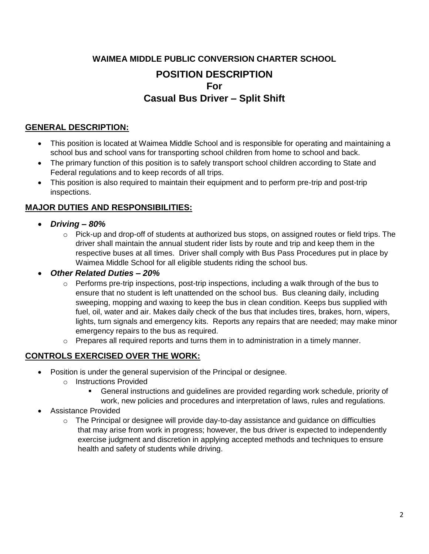# **WAIMEA MIDDLE PUBLIC CONVERSION CHARTER SCHOOL POSITION DESCRIPTION For Casual Bus Driver – Split Shift**

### **GENERAL DESCRIPTION:**

- This position is located at Waimea Middle School and is responsible for operating and maintaining a school bus and school vans for transporting school children from home to school and back.
- The primary function of this position is to safely transport school children according to State and Federal regulations and to keep records of all trips.
- This position is also required to maintain their equipment and to perform pre-trip and post-trip inspections.

### **MAJOR DUTIES AND RESPONSIBILITIES:**

- *Driving – 80%*
	- $\circ$  Pick-up and drop-off of students at authorized bus stops, on assigned routes or field trips. The driver shall maintain the annual student rider lists by route and trip and keep them in the respective buses at all times. Driver shall comply with Bus Pass Procedures put in place by Waimea Middle School for all eligible students riding the school bus.

### *Other Related Duties – 20%*

- $\circ$  Performs pre-trip inspections, post-trip inspections, including a walk through of the bus to ensure that no student is left unattended on the school bus. Bus cleaning daily, including sweeping, mopping and waxing to keep the bus in clean condition. Keeps bus supplied with fuel, oil, water and air. Makes daily check of the bus that includes tires, brakes, horn, wipers, lights, turn signals and emergency kits. Reports any repairs that are needed; may make minor emergency repairs to the bus as required.
- o Prepares all required reports and turns them in to administration in a timely manner.

### **CONTROLS EXERCISED OVER THE WORK:**

- Position is under the general supervision of the Principal or designee.
	- o Instructions Provided
		- General instructions and guidelines are provided regarding work schedule, priority of work, new policies and procedures and interpretation of laws, rules and regulations.
- Assistance Provided
	- $\circ$  The Principal or designee will provide day-to-day assistance and quidance on difficulties that may arise from work in progress; however, the bus driver is expected to independently exercise judgment and discretion in applying accepted methods and techniques to ensure health and safety of students while driving.